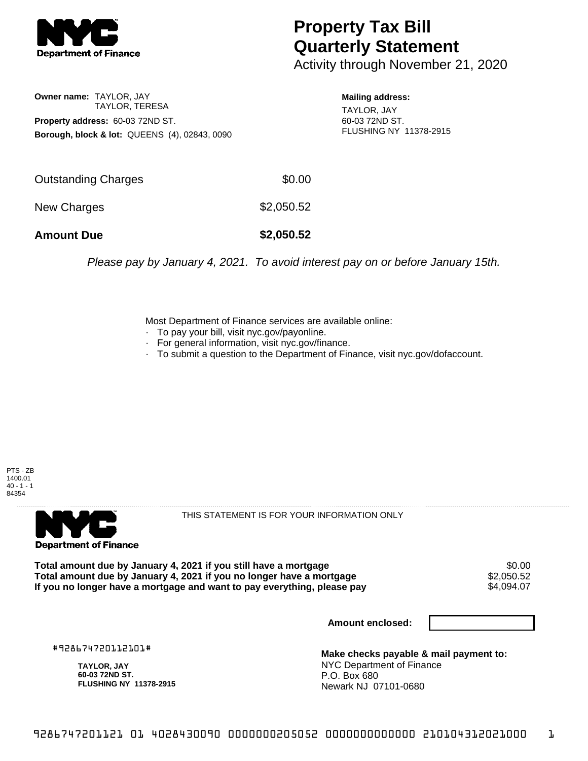

## **Property Tax Bill Quarterly Statement**

Activity through November 21, 2020

**Owner name:** TAYLOR, JAY TAYLOR, TERESA **Property address:** 60-03 72ND ST. **Borough, block & lot:** QUEENS (4), 02843, 0090 **Mailing address:**

TAYLOR, JAY 60-03 72ND ST. FLUSHING NY 11378-2915

| <b>Amount Due</b>   | \$2,050.52 |
|---------------------|------------|
| New Charges         | \$2,050.52 |
| Outstanding Charges | \$0.00     |

Please pay by January 4, 2021. To avoid interest pay on or before January 15th.

Most Department of Finance services are available online:

- · To pay your bill, visit nyc.gov/payonline.
- For general information, visit nyc.gov/finance.
- · To submit a question to the Department of Finance, visit nyc.gov/dofaccount.

PTS - ZB 1400.01  $40 - 1 - 1$ 84354



THIS STATEMENT IS FOR YOUR INFORMATION ONLY

Total amount due by January 4, 2021 if you still have a mortgage \$0.00<br>Total amount due by January 4, 2021 if you no longer have a mortgage \$2.050.52 **Total amount due by January 4, 2021 if you no longer have a mortgage**  $$2,050.52$$ **<br>If you no longer have a mortgage and want to pay everything, please pay**  $$4,094.07$$ If you no longer have a mortgage and want to pay everything, please pay

**Amount enclosed:**

#928674720112101#

**TAYLOR, JAY 60-03 72ND ST. FLUSHING NY 11378-2915**

**Make checks payable & mail payment to:** NYC Department of Finance P.O. Box 680 Newark NJ 07101-0680